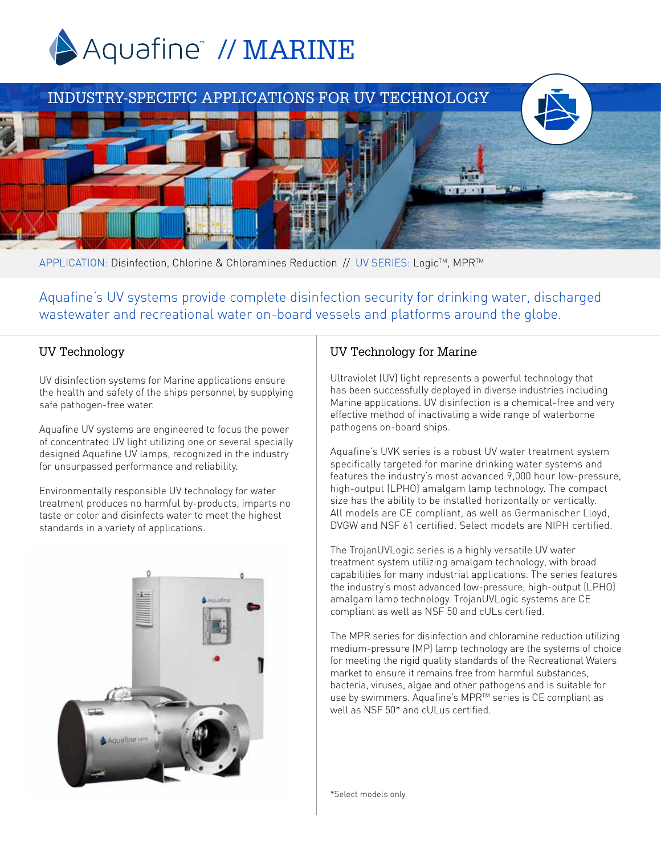





APPLICATION: Disinfection, Chlorine & Chloramines Reduction // UV SERIES: Logic™, MPR™

Aquafine's UV systems provide complete disinfection security for drinking water, discharged wastewater and recreational water on-board vessels and platforms around the globe.

## UV Technology

UV disinfection systems for Marine applications ensure the health and safety of the ships personnel by supplying safe pathogen-free water.

Aquafine UV systems are engineered to focus the power of concentrated UV light utilizing one or several specially designed Aquafine UV lamps, recognized in the industry for unsurpassed performance and reliability.

Environmentally responsible UV technology for water treatment produces no harmful by-products, imparts no taste or color and disinfects water to meet the highest standards in a variety of applications.



## UV Technology for Marine

Ultraviolet (UV) light represents a powerful technology that has been successfully deployed in diverse industries including Marine applications. UV disinfection is a chemical-free and very effective method of inactivating a wide range of waterborne pathogens on-board ships.

Aquafine's UVK series is a robust UV water treatment system specifically targeted for marine drinking water systems and features the industry's most advanced 9,000 hour low-pressure, high-output (LPHO) amalgam lamp technology. The compact size has the ability to be installed horizontally or vertically. All models are CE compliant, as well as Germanischer Lloyd, DVGW and NSF 61 certified. Select models are NIPH certified.

The TrojanUVLogic series is a highly versatile UV water treatment system utilizing amalgam technology, with broad capabilities for many industrial applications. The series features the industry's most advanced low-pressure, high-output (LPHO) amalgam lamp technology. TrojanUVLogic systems are CE compliant as well as NSF 50 and cULs certified.

The MPR series for disinfection and chloramine reduction utilizing medium-pressure (MP) lamp technology are the systems of choice for meeting the rigid quality standards of the Recreational Waters market to ensure it remains free from harmful substances, bacteria, viruses, algae and other pathogens and is suitable for use by swimmers. Aquafine's MPR™ series is CE compliant as well as NSF 50\* and cULus certified.

\*Select models only.